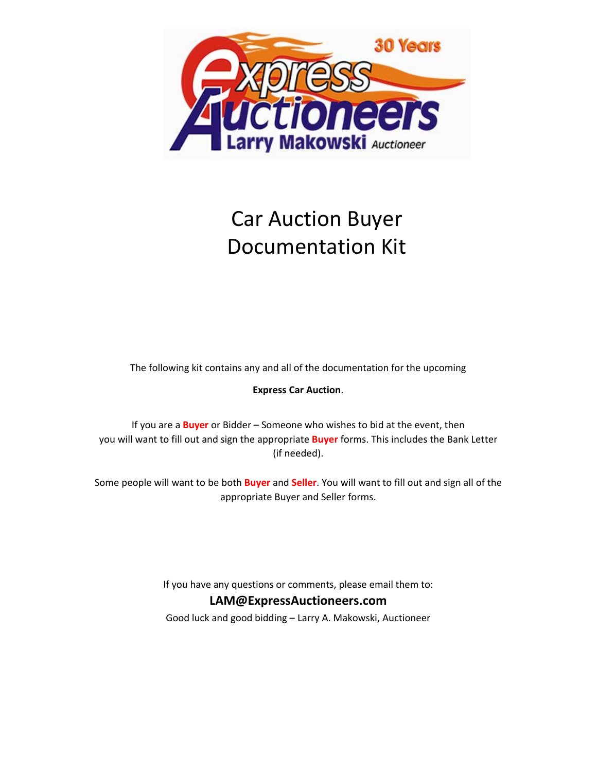

# Car Auction Buyer Documentation Kit

The following kit contains any and all of the documentation for the upcoming

## **Express Car Auction**.

If you are a **Buyer** or Bidder – Someone who wishes to bid at the event, then you will want to fill out and sign the appropriate **Buyer** forms. This includes the Bank Letter (if needed).

Some people will want to be both **Buyer** and **Seller**. You will want to fill out and sign all of the appropriate Buyer and Seller forms.

If you have any questions or comments, please email them to:

## **LAM@ExpressAuctioneers.com**

Good luck and good bidding – Larry A. Makowski, Auctioneer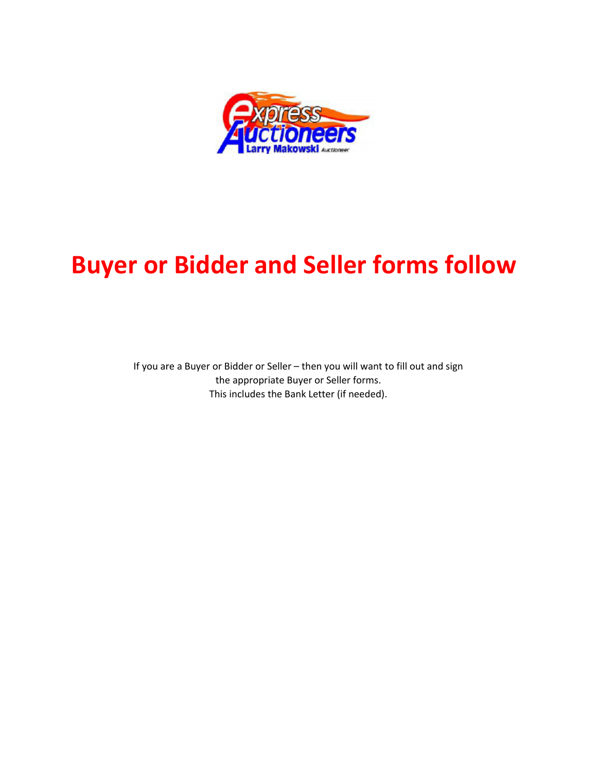

# **Buyer or Bidder and Seller forms follow**

If you are a Buyer or Bidder or Seller – then you will want to fill out and sign the appropriate Buyer or Seller forms. This includes the Bank Letter (if needed).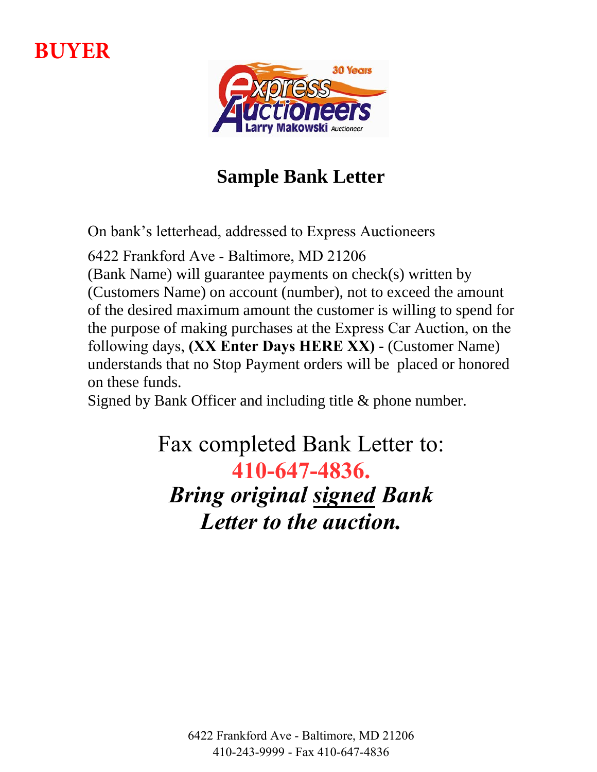# **BUYER**



## **Sample Bank Letter**

On bank's letterhead, addressed to Express Auctioneers

6422 Frankford Ave - Baltimore, MD 21206 (Bank Name) will guarantee payments on check(s) written by (Customers Name) on account (number), not to exceed the amount of the desired maximum amount the customer is willing to spend for the purpose of making purchases at the Express Car Auction, on the following days, **(XX Enter Days HERE XX)** - (Customer Name) understands that no Stop Payment orders will be placed or honored on these funds.

Signed by Bank Officer and including title & phone number.

Fax completed Bank Letter to: **410-647-4836.** *Bring original signed Bank Letter to the auction.*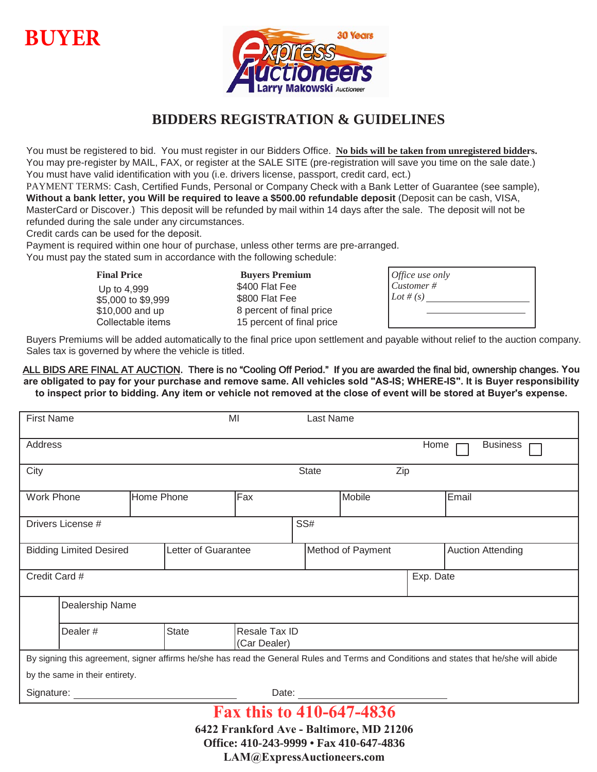## **BUYER**



## **BIDDERS REGISTRATION & GUIDELINES**

You must be registered to bid. You must register in our Bidders Office. **No bids will be taken from unregistered bidders.** You may pre-register by MAIL, FAX, or register at the SALE SITE (pre-registration will save you time on the sale date.) You must have valid identification with you (i.e. drivers license, passport, credit card, ect.)

PAYMENT TERMS: Cash, Certified Funds, Personal or Company Check with a Bank Letter of Guarantee (see sample), **Without a bank letter, you Will be required to leave a \$500.00 refundable deposit** (Deposit can be cash, VISA, MasterCard or Discover.) This deposit will be refunded by mail within 14 days after the sale. The deposit will not be refunded during the sale under any circumstances.

Credit cards can be used for the deposit.

Payment is required within one hour of purchase, unless other terms are pre-arranged.

You must pay the stated sum in accordance with the following schedule:

Up to 4,999 \$5,000 to \$9,999 \$10,000 and up

**Final Price Buyers Premium** \$400 Flat Fee \$800 Flat Fee 8 percent of final price Collectable items 15 percent of final price

| $\int$ <i>Office use only</i><br>$\overline{C}$ <i>ustomer</i> #<br>$Let$ # (s) |  |  |
|---------------------------------------------------------------------------------|--|--|
|                                                                                 |  |  |

Buyers Premiums will be added automatically to the final price upon settlement and payable without relief to the auction company. Sales tax is governed by where the vehicle is titled.

ALL BIDS ARE FINAL AT AUCTION. There is no "Cooling Off Period." If you are awarded the final bid, ownership changes**. You are obligated to pay for your purchase and remove same. All vehicles sold "AS-IS; WHERE-IS". It is Buyer responsibility to inspect prior to bidding. Any item or vehicle not removed at the close of event will be stored at Buyer's expense.**

| <b>First Name</b>              |                     | MI                            | Last Name         |           |                                                                                                                                        |
|--------------------------------|---------------------|-------------------------------|-------------------|-----------|----------------------------------------------------------------------------------------------------------------------------------------|
| Address                        |                     |                               |                   | Home      | <b>Business</b>                                                                                                                        |
| City                           |                     |                               | <b>State</b>      | Zip       |                                                                                                                                        |
| <b>Work Phone</b>              | Home Phone          | Fax                           | Mobile            |           | Email                                                                                                                                  |
| Drivers License #              |                     |                               | SS#               |           |                                                                                                                                        |
| <b>Bidding Limited Desired</b> | Letter of Guarantee |                               | Method of Payment |           | <b>Auction Attending</b>                                                                                                               |
| Credit Card #                  |                     |                               |                   | Exp. Date |                                                                                                                                        |
| Dealership Name                |                     |                               |                   |           |                                                                                                                                        |
| Dealer#                        | State               | Resale Tax ID<br>(Car Dealer) |                   |           |                                                                                                                                        |
|                                |                     |                               |                   |           | By signing this agreement, signer affirms he/she has read the General Rules and Terms and Conditions and states that he/she will abide |
| by the same in their entirety. |                     |                               |                   |           |                                                                                                                                        |
| Signature:                     |                     | Date:                         |                   |           |                                                                                                                                        |
| Fax this to 410-647-4836       |                     |                               |                   |           |                                                                                                                                        |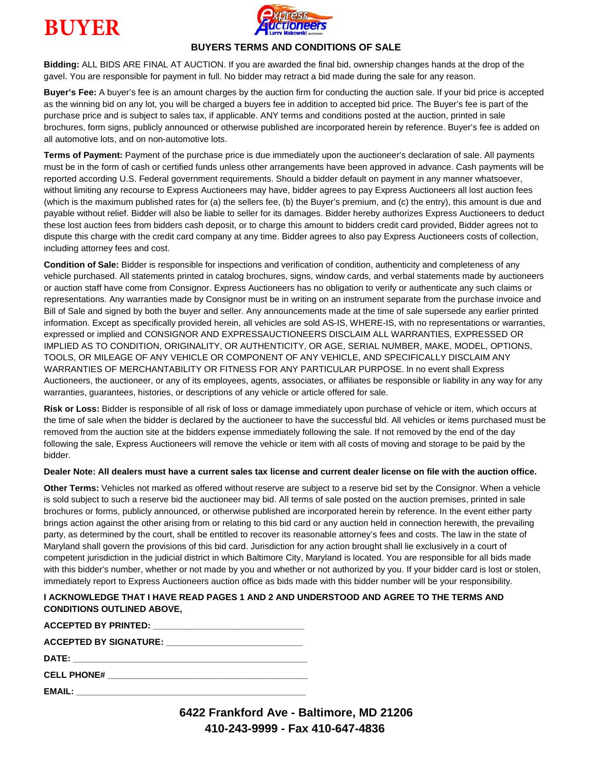



### **BUYERS TERMS AND CONDITIONS OF SALE**

**Bidding:** ALL BIDS ARE FINAL AT AUCTION. If you are awarded the final bid, ownership changes hands at the drop of the gavel. You are responsible for payment in full. No bidder may retract a bid made during the sale for any reason.

**Buyer's Fee:** A buyer's fee is an amount charges by the auction firm for conducting the auction sale. If your bid price is accepted as the winning bid on any lot, you will be charged a buyers fee in addition to accepted bid price. The Buyer's fee is part of the purchase price and is subject to sales tax, if applicable. ANY terms and conditions posted at the auction, printed in sale brochures, form signs, publicly announced or otherwise published are incorporated herein by reference. Buyer's fee is added on all automotive lots, and on non-automotive lots.

**Terms of Payment:** Payment of the purchase price is due immediately upon the auctioneer's declaration of sale. All payments must be in the form of cash or certified funds unless other arrangements have been approved in advance. Cash payments will be reported according U.S. Federal government requirements. Should a bidder default on payment in any manner whatsoever, without limiting any recourse to Express Auctioneers may have, bidder agrees to pay Express Auctioneers all lost auction fees (which is the maximum published rates for (a) the sellers fee, (b) the Buyer's premium, and (c) the entry), this amount is due and payable without relief. Bidder will also be liable to seller for its damages. Bidder hereby authorizes Express Auctioneers to deduct these lost auction fees from bidders cash deposit, or to charge this amount to bidders credit card provided, Bidder agrees not to dispute this charge with the credit card company at any time. Bidder agrees to also pay Express Auctioneers costs of collection, including attorney fees and cost.

**Condition of Sale:** Bidder is responsible for inspections and verification of condition, authenticity and completeness of any vehicle purchased. All statements printed in catalog brochures, signs, window cards, and verbal statements made by auctioneers or auction staff have come from Consignor. Express Auctioneers has no obligation to verify or authenticate any such claims or representations. Any warranties made by Consignor must be in writing on an instrument separate from the purchase invoice and Bill of Sale and signed by both the buyer and seller. Any announcements made at the time of sale supersede any earlier printed information. Except as specifically provided herein, all vehicles are sold AS-IS, WHERE-IS, with no representations or warranties, expressed or implied and CONSIGNOR AND EXPRESSAUCTIONEERS DISCLAIM ALL WARRANTIES, EXPRESSED OR IMPLIED AS TO CONDITION, ORIGINALITY, OR AUTHENTICITY, OR AGE, SERIAL NUMBER, MAKE, MODEL, OPTIONS, TOOLS, OR MILEAGE OF ANY VEHICLE OR COMPONENT OF ANY VEHICLE, AND SPECIFICALLY DISCLAIM ANY WARRANTIES OF MERCHANTABILITY OR FITNESS FOR ANY PARTICULAR PURPOSE. ln no event shall Express Auctioneers, the auctioneer, or any of its employees, agents, associates, or affiliates be responsible or liability in any way for any warranties, guarantees, histories, or descriptions of any vehicle or article offered for sale.

**Risk or Loss:** Bidder is responsible of all risk of loss or damage immediately upon purchase of vehicle or item, which occurs at the time of sale when the bidder is declared by the auctioneer to have the successful bld. All vehicles or items purchased must be removed from the auction site at the bidders expense immediately following the sale. If not removed by the end of the day following the sale, Express Auctioneers will remove the vehicle or item with all costs of moving and storage to be paid by the bidder.

#### **Dealer Note: All dealers must have a current sales tax license and current dealer license on file with the auction office.**

**Other Terms:** Vehicles not marked as offered without reserve are subject to a reserve bid set by the Consignor. When a vehicle is sold subject to such a reserve bid the auctioneer may bid. All terms of sale posted on the auction premises, printed in sale brochures or forms, publicly announced, or otherwise published are incorporated herein by reference. In the event either party brings action against the other arising from or relating to this bid card or any auction held in connection herewith, the prevailing party, as determined by the court, shall be entitled to recover its reasonable attorney's fees and costs. The law in the state of Maryland shall govern the provisions of this bid card. Jurisdiction for any action brought shall lie exclusively in a court of competent jurisdiction in the judicial district in which Baltimore City, Maryland is located. You are responsible for all bids made with this bidder's number, whether or not made by you and whether or not authorized by you. If your bidder card is lost or stolen, immediately report to Express Auctioneers auction office as bids made with this bidder number will be your responsibility.

#### **I ACKNOWLEDGE THAT I HAVE READ PAGES 1 AND 2 AND UNDERSTOOD AND AGREE TO THE TERMS AND CONDITIONS OUTLINED ABOVE,**

| ACCEPTED BY SIGNATURE: ________________________________                         |
|---------------------------------------------------------------------------------|
|                                                                                 |
| <b>CELL PHONE#</b><br><u> 1980 - Andrea Andrewski, fransk politik (d. 1980)</u> |
|                                                                                 |

**6422 Frankford Ave - Baltimore, MD 21206 410-243-9999 - Fax 410-647-4836**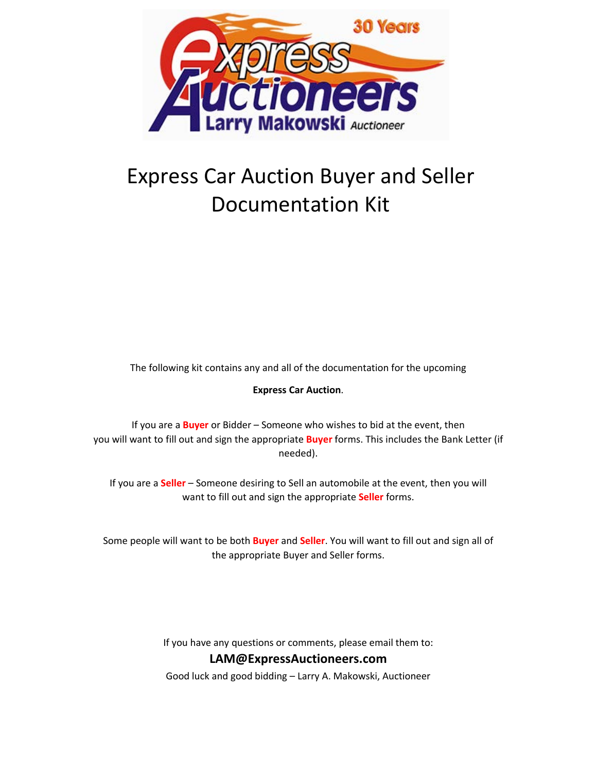

# Express Car Auction Buyer and Seller Documentation Kit

The following kit contains any and all of the documentation for the upcoming

### **Express Car Auction**.

If you are a **Buyer** or Bidder – Someone who wishes to bid at the event, then you will want to fill out and sign the appropriate **Buyer** forms. This includes the Bank Letter (if needed).

If you are a **Seller** – Someone desiring to Sell an automobile at the event, then you will want to fill out and sign the appropriate **Seller** forms.

Some people will want to be both **Buyer** and **Seller**. You will want to fill out and sign all of the appropriate Buyer and Seller forms.

> If you have any questions or comments, please email them to: **LAM@ExpressAuctioneers.com**

Good luck and good bidding – Larry A. Makowski, Auctioneer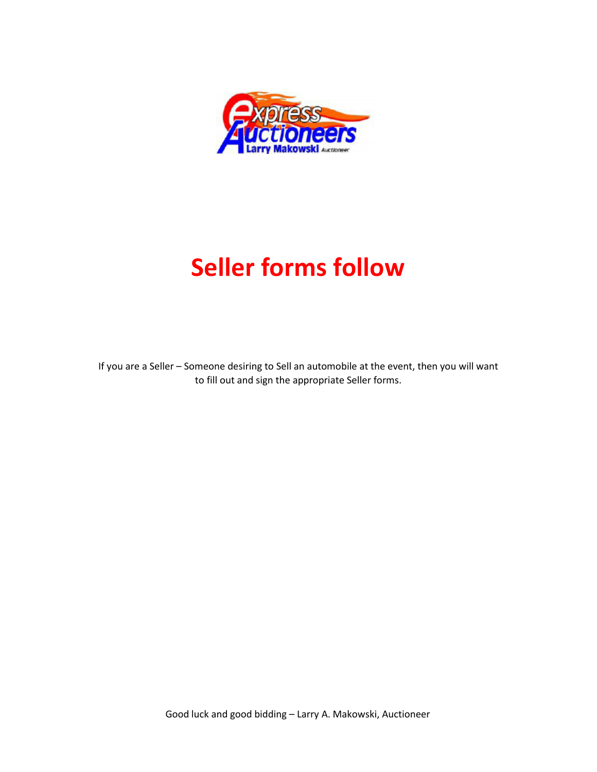

# **Seller forms follow**

If you are a Seller – Someone desiring to Sell an automobile at the event, then you will want to fill out and sign the appropriate Seller forms.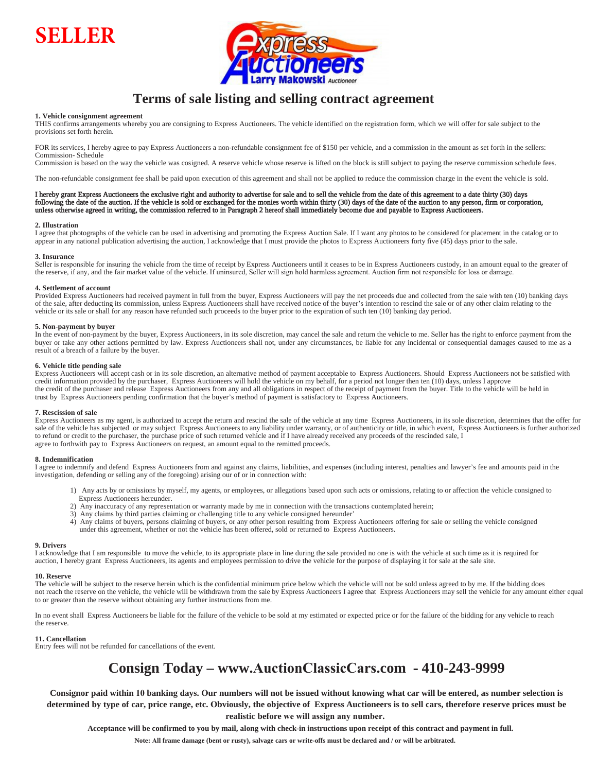



## **Terms of sale listing and selling contract agreement**

#### **1. Vehicle consignment agreement**

THIS confirms arrangements whereby you are consigning to Express Auctioneers. The vehicle identified on the registration form, which we will offer for sale subject to the provisions set forth herein.

FOR its services, I hereby agree to pay Express Auctioneers a non-refundable consignment fee of \$150 per vehicle, and a commission in the amount as set forth in the sellers: Commission- Schedule

Commission is based on the way the vehicle was cosigned. A reserve vehicle whose reserve is lifted on the block is still subject to paying the reserve commission schedule fees.

The non-refundable consignment fee shall be paid upon execution of this agreement and shall not be applied to reduce the commission charge in the event the vehicle is sold.

#### I hereby grant Express Auctioneers the exclusive right and authority to advertise for sale and to sell the vehicle from the date of this agreement to a date thirty (30) days following the date of the auction. If the vehicle is sold or exchanged for the monies worth within thirty (30) days of the date of the auction to any person, firm or corporation, unless otherwise agreed in writing, the commission referred to in Paragraph 2 hereof shall immediately become due and payable to Express Auctioneers.

#### **2. Illustration**

I agree that photographs of the vehicle can be used in advertising and promoting the Express Auction Sale. If I want any photos to be considered for placement in the catalog or to appear in any national publication advertising the auction, I acknowledge that I must provide the photos to Express Auctioneers forty five (45) days prior to the sale.

#### **3. Insurance**

Seller is responsible for insuring the vehicle from the time of receipt by Express Auctioneers until it ceases to be in Express Auctioneers custody, in an amount equal to the greater of the reserve, if any, and the fair market value of the vehicle. If uninsured, Seller will sign hold harmless agreement. Auction firm not responsible for loss or damage.

#### **4. Settlement of account**

Provided Express Auctioneers had received payment in full from the buyer, Express Auctioneers will pay the net proceeds due and collected from the sale with ten (10) banking days of the sale, after deducting its commission, unless Express Auctioneers shall have received notice of the buyer's intention to rescind the sale or of any other claim relating to the vehicle or its sale or shall for any reason have refunded such proceeds to the buyer prior to the expiration of such ten (10) banking day period.

#### **5. Non-payment by buyer**

In the event of non-payment by the buyer, Express Auctioneers, in its sole discretion, may cancel the sale and return the vehicle to me. Seller has the right to enforce payment from the buyer or take any other actions permitted by law. Express Auctioneers shall not, under any circumstances, be liable for any incidental or consequential damages caused to me as a result of a breach of a failure by the buyer.

#### **6. Vehicle title pending sale**

Express Auctioneers will accept cash or in its sole discretion, an alternative method of payment acceptable to Express Auctioneers. Should Express Auctioneers not be satisfied with credit information provided by the purchaser, Express Auctioneers will hold the vehicle on my behalf, for a period not longer then ten (10) days, unless I approve the credit of the purchaser and release Express Auctioneers from any and all obligations in respect of the receipt of payment from the buyer. Title to the vehicle will be held in trust by Express Auctioneers pending confirmation that the buyer's method of payment is satisfactory to Express Auctioneers.

#### **7. Rescission of sale**

Express Auctioneers as my agent, is authorized to accept the return and rescind the sale of the vehicle at any time Express Auctioneers, in its sole discretion, determines that the offer for sale of the vehicle has subjected or may subject Express Auctioneers to any liability under warranty, or of authenticity or title, in which event, Express Auctioneers is further authorized to refund or credit to the purchaser, the purchase price of such returned vehicle and if I have already received any proceeds of the rescinded sale, I agree to forthwith pay to Express Auctioneers on request, an amount equal to the remitted proceeds.

#### **8. Indemnification**

I agree to indemnify and defend Express Auctioneers from and against any claims, liabilities, and expenses (including interest, penalties and lawyer's fee and amounts paid in the investigation, defending or selling any of the foregoing) arising our of or in connection with:

- 1) Any acts by or omissions by myself, my agents, or employees, or allegations based upon such acts or omissions, relating to or affection the vehicle consigned to Express Auctioneers hereunder.
- 2) Any inaccuracy of any representation or warranty made by me in connection with the transactions contemplated herein;
- 3) Any claims by third parties claiming or challenging title to any vehicle consigned hereunder'
- 4) Any claims of buyers, persons claiming of buyers, or any other person resulting from Express Auctioneers offering for sale or selling the vehicle consigned under this agreement, whether or not the vehicle has been offered, sold or returned to Express Auctioneers.

#### **9. Drivers**

I acknowledge that I am responsible to move the vehicle, to its appropriate place in line during the sale provided no one is with the vehicle at such time as it is required for auction, I hereby grant Express Auctioneers, its agents and employees permission to drive the vehicle for the purpose of displaying it for sale at the sale site.

#### **10. Reserve**

The vehicle will be subject to the reserve herein which is the confidential minimum price below which the vehicle will not be sold unless agreed to by me. If the bidding does not reach the reserve on the vehicle, the vehicle will be withdrawn from the sale by Express Auctioneers I agree that Express Auctioneers may sell the vehicle for any amount either equal to or greater than the reserve without obtaining any further instructions from me.

In no event shall Express Auctioneers be liable for the failure of the vehicle to be sold at my estimated or expected price or for the failure of the bidding for any vehicle to reach the reserve.

#### **11. Cancellation**

Entry fees will not be refunded for cancellations of the event.

## **Consign Today – www.[AuctionClassic](http://www.AuctionClassicCars.com/)Cars.com - 410-243-9999**

**Consignor paid within 10 banking days. Our numbers will not be issued without knowing what car will be entered, as number selection is determined by type of car, price range, etc. Obviously, the objective of Express Auctioneers is to sell cars, therefore reserve prices must be realistic before we will assign any number.**

**Acceptance will be confirmed to you by mail, along with check-in instructions upon receipt of this contract and payment in full.**

**Note: All frame damage (bent or rusty), salvage cars or write-offs must be declared and / or will be arbitrated.**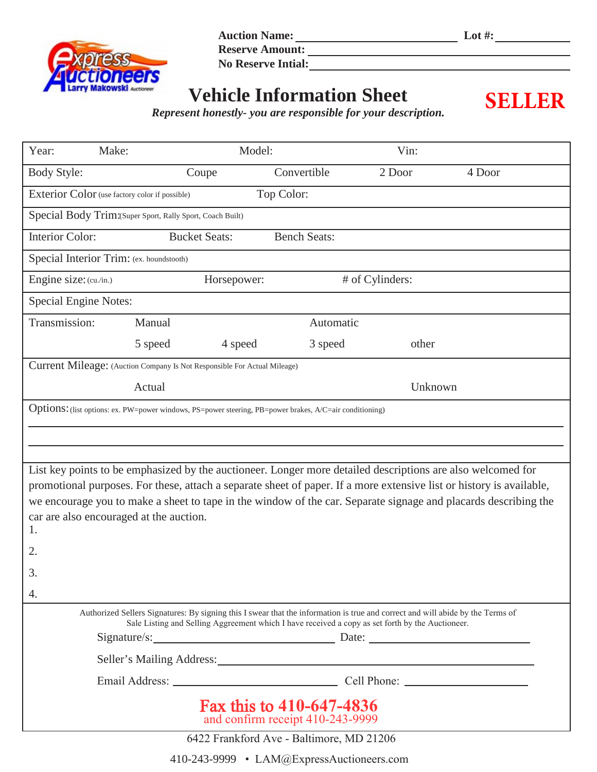

**Auction Name: Lot #:**

Reserve Amount:

**No Reserve Intial:**

## **Vehicle Information Sheet**

**SELLER**

*Represent honestly- you are responsible for your description.*

| Year:                                                                                                                                                                                                                              | Make:                                                      | Model:               |                     | Vin:                                                                                                        |                                                                                                                      |
|------------------------------------------------------------------------------------------------------------------------------------------------------------------------------------------------------------------------------------|------------------------------------------------------------|----------------------|---------------------|-------------------------------------------------------------------------------------------------------------|----------------------------------------------------------------------------------------------------------------------|
| <b>Body Style:</b>                                                                                                                                                                                                                 |                                                            | Coupe                | Convertible         | 2 Door                                                                                                      | 4 Door                                                                                                               |
|                                                                                                                                                                                                                                    | Exterior Color (use factory color if possible)             |                      | Top Color:          |                                                                                                             |                                                                                                                      |
|                                                                                                                                                                                                                                    | Special Body Trim: (Super Sport, Rally Sport, Coach Built) |                      |                     |                                                                                                             |                                                                                                                      |
| <b>Interior Color:</b>                                                                                                                                                                                                             |                                                            | <b>Bucket Seats:</b> | <b>Bench Seats:</b> |                                                                                                             |                                                                                                                      |
|                                                                                                                                                                                                                                    | Special Interior Trim: (ex. houndstooth)                   |                      |                     |                                                                                                             |                                                                                                                      |
| Engine size: (cu./in.)                                                                                                                                                                                                             |                                                            | Horsepower:          |                     | # of Cylinders:                                                                                             |                                                                                                                      |
| <b>Special Engine Notes:</b>                                                                                                                                                                                                       |                                                            |                      |                     |                                                                                                             |                                                                                                                      |
| Transmission:                                                                                                                                                                                                                      | Manual                                                     |                      | Automatic           |                                                                                                             |                                                                                                                      |
|                                                                                                                                                                                                                                    | 5 speed                                                    | 4 speed              | 3 speed             | other                                                                                                       |                                                                                                                      |
| Current Mileage: (Auction Company Is Not Responsible For Actual Mileage)                                                                                                                                                           |                                                            |                      |                     |                                                                                                             |                                                                                                                      |
|                                                                                                                                                                                                                                    | Actual                                                     |                      |                     | Unknown                                                                                                     |                                                                                                                      |
| Options: (list options: ex. PW=power windows, PS=power steering, PB=power brakes, A/C=air conditioning)                                                                                                                            |                                                            |                      |                     |                                                                                                             |                                                                                                                      |
|                                                                                                                                                                                                                                    |                                                            |                      |                     |                                                                                                             |                                                                                                                      |
|                                                                                                                                                                                                                                    |                                                            |                      |                     |                                                                                                             |                                                                                                                      |
|                                                                                                                                                                                                                                    |                                                            |                      |                     | List key points to be emphasized by the auctioneer. Longer more detailed descriptions are also welcomed for | promotional purposes. For these, attach a separate sheet of paper. If a more extensive list or history is available, |
|                                                                                                                                                                                                                                    |                                                            |                      |                     |                                                                                                             | we encourage you to make a sheet to tape in the window of the car. Separate signage and placards describing the      |
|                                                                                                                                                                                                                                    | car are also encouraged at the auction.                    |                      |                     |                                                                                                             |                                                                                                                      |
| 1.                                                                                                                                                                                                                                 |                                                            |                      |                     |                                                                                                             |                                                                                                                      |
| 2.                                                                                                                                                                                                                                 |                                                            |                      |                     |                                                                                                             |                                                                                                                      |
| 3.                                                                                                                                                                                                                                 |                                                            |                      |                     |                                                                                                             |                                                                                                                      |
| 4.                                                                                                                                                                                                                                 |                                                            |                      |                     |                                                                                                             |                                                                                                                      |
| Authorized Sellers Signatures: By signing this I swear that the information is true and correct and will abide by the Terms of<br>Sale Listing and Selling Aggreement which I have received a copy as set forth by the Auctioneer. |                                                            |                      |                     |                                                                                                             |                                                                                                                      |
|                                                                                                                                                                                                                                    |                                                            |                      |                     | Signature/s: Date: Date:                                                                                    |                                                                                                                      |
|                                                                                                                                                                                                                                    |                                                            |                      |                     |                                                                                                             |                                                                                                                      |
|                                                                                                                                                                                                                                    |                                                            |                      |                     |                                                                                                             |                                                                                                                      |
| Fax this to 410-647-4836<br>and confirm receipt 410-243-9999                                                                                                                                                                       |                                                            |                      |                     |                                                                                                             |                                                                                                                      |
| $6422$ Frankford $\Delta_{VQ}$ Raltimore MD 21206                                                                                                                                                                                  |                                                            |                      |                     |                                                                                                             |                                                                                                                      |

6422 Frankford Ave - Baltimore, MD 21206

410-243-9999 • LAM@ExpressAuctioneers.com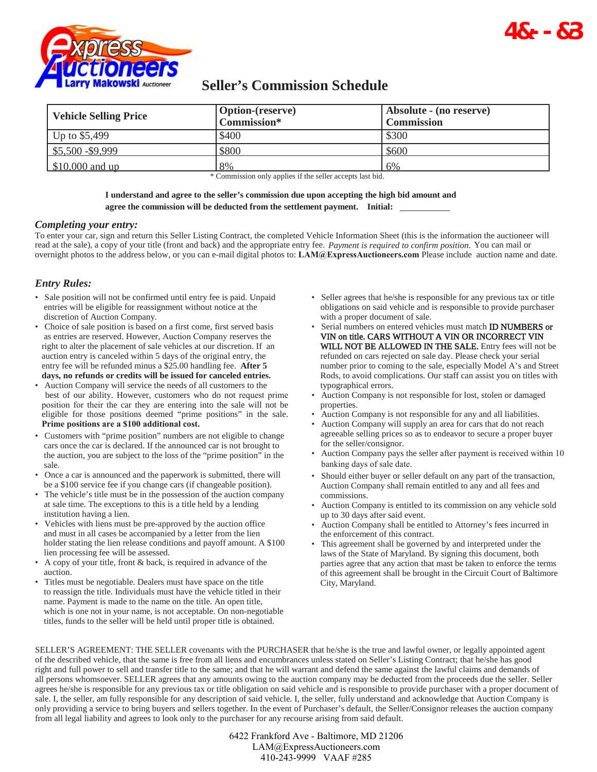

## **Seller's Commission Schedule**

| <b>Vehicle Selling Price</b> | <b>Option-(reserve)</b> | Absolute - (no reserve) |  |
|------------------------------|-------------------------|-------------------------|--|
|                              | Commission*             | <b>Commission</b>       |  |
| Up to $$5,499$               | \$400                   | \$300                   |  |
| $\frac{$5,500 - $9,999}{}$   | \$800                   | \$600                   |  |
| $$10,000$ and up             | 8%                      | 6%                      |  |

\* Commission only applies if the seller accepts last bid.

#### **I understand and agree to the seller's commission due upon accepting the high bid amount and agree the commission will be deducted from the settlement payment. Initial:**

#### *Completing your entry:*

To enter your car, sign and return this Seller Listing Contract, the completed Vehicle Information Sheet (this is the information the auctioneer will read at the sale), a copy of your title (front and back) and the appropriate entry fee. *Payment is required to confirm position.* You can mail or overnight photos to the address below, or you can e-mail digital photos to: **LAM@ExpressAuctioneers.com** Please include auction name and date.

### *Entry Rules:*

- Sale position will not be confirmed until entry fee is paid. Unpaid entries will be eligible for reassignment without notice at the discretion of Auction Company.
- Choice of sale position is based on a first come, first served basis as entries are reserved. However, Auction Company reserves the right to alter the placement of sale vehicles at our discretion. If an auction entry is canceled within 5 days of the original entry, the entry fee will be refunded minus a \$25.00 handling fee. **After 5 days, no refunds or credits will be issued for canceled entries.**
- Auction Company will service the needs of all customers to the best of our ability. However, customers who do not request prime position for their the car they are entering into the sale will not be eligible for those positions deemed "prime positions" in the sale. **Prime positions are a \$100 additional cost.**
- Customers with "prime position" numbers are not eligible to change cars once the car is declared. If the announced car is not brought to the auction, you are subject to the loss of the "prime position" in the sale.
- Once a car is announced and the paperwork is submitted, there will be a \$100 service fee if you change cars (if changeable position).
- The vehicle's title must be in the possession of the auction company at sale time. The exceptions to this is a title held by a lending institution having a lien.
- Vehicles with liens must be pre-approved by the auction office and must in all cases be accompanied by a letter from the lien holder stating the lien release conditions and payoff amount. A \$100 lien processing fee will be assessed.
- A copy of your title, front & back, is required in advance of the auction.
- Titles must be negotiable. Dealers must have space on the title to reassign the title. Individuals must have the vehicle titled in their name. Payment is made to the name on the title. An open title, which is one not in your name, is not acceptable. On non-negotiable titles, funds to the seller will be held until proper title is obtained.

• Seller agrees that he/she is responsible for any previous tax or title obligations on said vehicle and is responsible to provide purchaser with a proper document of sale.

**4.7>>7** 

- Serial numbers on entered vehicles must match **ID NUMBERS** or VIN on title. CARS WITHOUT A VIN OR INCORRECT VIN WILL NOT BE ALLOWED IN THE SALE. Entry fees will not be refunded on cars rejected on sale day. Please check your serial number prior to coming to the sale, especially Model A's and Street Rods, to avoid complications. Our staff can assist you on titles with typographical errors.
- Auction Company is not responsible for lost, stolen or damaged properties.
- Auction Company is not responsible for any and all liabilities.
- Auction Company will supply an area for cars that do not reach agreeable selling prices so as to endeavor to secure a proper buyer for the seller/consignor.
- Auction Company pays the seller after payment is received within 10 banking days of sale date.
- Should either buyer or seller default on any part of the transaction, Auction Company shall remain entitled to any and all fees and commissions.
- Auction Company is entitled to its commission on any vehicle sold up to 30 days after said event.
- Auction Company shall be entitled to Attorney's fees incurred in the enforcement of this contract.
- This agreement shall be governed by and interpreted under the laws of the State of Maryland. By signing this document, both parties agree that any action that mast be taken to enforce the terms of this agreement shall be brought in the Circuit Court of Baltimore City, Maryland.

SELLER'S AGREEMENT: THE SELLER covenants with the PURCHASER that he/she is the true and lawful owner, or legally appointed agent of the described vehicle, that the same is free from all liens and encumbrances unless stated on Seller's Listing Contract; that he/she has good right and full power to sell and transfer title to the same; and that he will warrant and defend the same against the lawful claims and demands of all persons whomsoever. SELLER agrees that any amounts owing to the auction company may be deducted from the proceeds due the seller. Seller agrees he/she is responsible for any previous tax or title obligation on said vehicle and is responsible to provide purchaser with a proper document of sale. I, the seller, am fully responsible for any description of said vehicle. I, the seller, fully understand and acknowledge that Auction Company is only providing a service to bring buyers and sellers together. In the event of Purchaser's default, the Seller/Consignor releases the auction company from all legal liability and agrees to look only to the purchaser for any recourse arising from said default.

> 6422 Frankford Ave - Baltimore, MD 21206 LAM@ExpressAuctioneers.com 410-243-9999 VAAF #285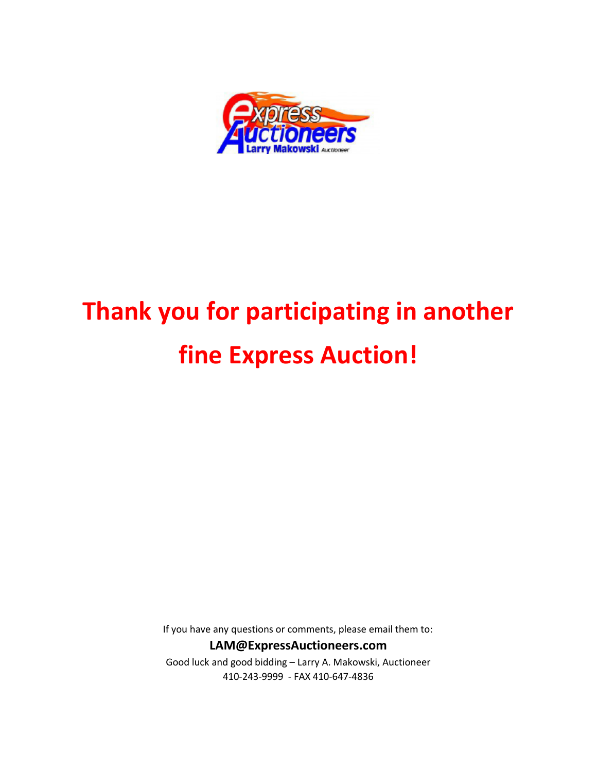

# **Thank you for participating in another fine Express Auction!**

If you have any questions or comments, please email them to:

## **LAM@ExpressAuctioneers.com**

Good luck and good bidding – Larry A. Makowski, Auctioneer 410-243-9999 - FAX 410-647-4836